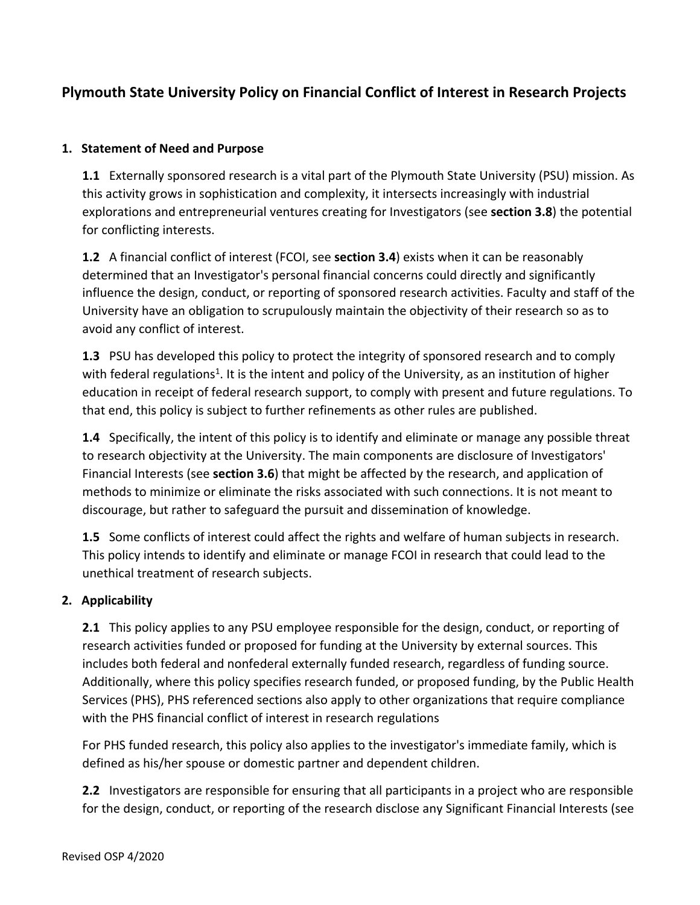# **Plymouth State University Policy on Financial Conflict of Interest in Research Projects**

#### **1. Statement of Need and Purpose**

**1.1** Externally sponsored research is a vital part of the Plymouth State University (PSU) mission. As this activity grows in sophistication and complexity, it intersects increasingly with industrial explorations and entrepreneurial ventures creating for Investigators (see **section 3.8**) the potential for conflicting interests.

**1.2** A financial conflict of interest (FCOI, see **section 3.4**) exists when it can be reasonably determined that an Investigator's personal financial concerns could directly and significantly influence the design, conduct, or reporting of sponsored research activities. Faculty and staff of the University have an obligation to scrupulously maintain the objectivity of their research so as to avoid any conflict of interest.

**1.3** PSU has developed this policy to protect the integrity of sponsored research and to comply with federal regulations<sup>1</sup>. It is the intent and policy of the University, as an institution of higher education in receipt of federal research support, to comply with present and future regulations. To that end, this policy is subject to further refinements as other rules are published.

**1.4** Specifically, the intent of this policy is to identify and eliminate or manage any possible threat to research objectivity at the University. The main components are disclosure of Investigators' Financial Interests (see **section 3.6**) that might be affected by the research, and application of methods to minimize or eliminate the risks associated with such connections. It is not meant to discourage, but rather to safeguard the pursuit and dissemination of knowledge.

**1.5** Some conflicts of interest could affect the rights and welfare of human subjects in research. This policy intends to identify and eliminate or manage FCOI in research that could lead to the unethical treatment of research subjects.

# **2. Applicability**

**2.1** This policy applies to any PSU employee responsible for the design, conduct, or reporting of research activities funded or proposed for funding at the University by external sources. This includes both federal and nonfederal externally funded research, regardless of funding source. Additionally, where this policy specifies research funded, or proposed funding, by the Public Health Services (PHS), PHS referenced sections also apply to other organizations that require compliance with the PHS financial conflict of interest in research regulations

For PHS funded research, this policy also applies to the investigator's immediate family, which is defined as his/her spouse or domestic partner and dependent children.

**2.2** Investigators are responsible for ensuring that all participants in a project who are responsible for the design, conduct, or reporting of the research disclose any Significant Financial Interests (see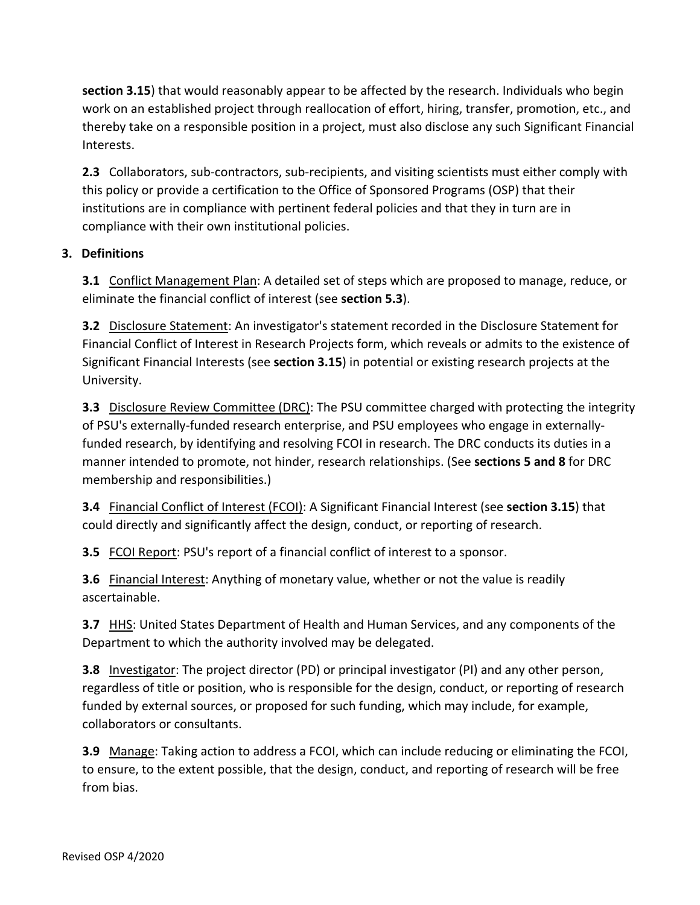**section 3.15**) that would reasonably appear to be affected by the research. Individuals who begin work on an established project through reallocation of effort, hiring, transfer, promotion, etc., and thereby take on a responsible position in a project, must also disclose any such Significant Financial Interests.

**2.3** Collaborators, sub-contractors, sub-recipients, and visiting scientists must either comply with this policy or provide a certification to the Office of Sponsored Programs (OSP) that their institutions are in compliance with pertinent federal policies and that they in turn are in compliance with their own institutional policies.

# **3. Definitions**

**3.1** Conflict Management Plan: A detailed set of steps which are proposed to manage, reduce, or eliminate the financial conflict of interest (see **section 5.3**).

**3.2** Disclosure Statement: An investigator's statement recorded in the Disclosure Statement for Financial Conflict of Interest in Research Projects form, which reveals or admits to the existence of Significant Financial Interests (see **section 3.15**) in potential or existing research projects at the University.

**3.3** Disclosure Review Committee (DRC): The PSU committee charged with protecting the integrity of PSU's externally-funded research enterprise, and PSU employees who engage in externallyfunded research, by identifying and resolving FCOI in research. The DRC conducts its duties in a manner intended to promote, not hinder, research relationships. (See **sections 5 and 8** for DRC membership and responsibilities.)

**3.4** Financial Conflict of Interest (FCOI): A Significant Financial Interest (see **section 3.15**) that could directly and significantly affect the design, conduct, or reporting of research.

**3.5** FCOI Report: PSU's report of a financial conflict of interest to a sponsor.

**3.6** Financial Interest: Anything of monetary value, whether or not the value is readily ascertainable.

**3.7** HHS: United States Department of Health and Human Services, and any components of the Department to which the authority involved may be delegated.

**3.8** Investigator: The project director (PD) or principal investigator (PI) and any other person, regardless of title or position, who is responsible for the design, conduct, or reporting of research funded by external sources, or proposed for such funding, which may include, for example, collaborators or consultants.

**3.9** Manage: Taking action to address a FCOI, which can include reducing or eliminating the FCOI, to ensure, to the extent possible, that the design, conduct, and reporting of research will be free from bias.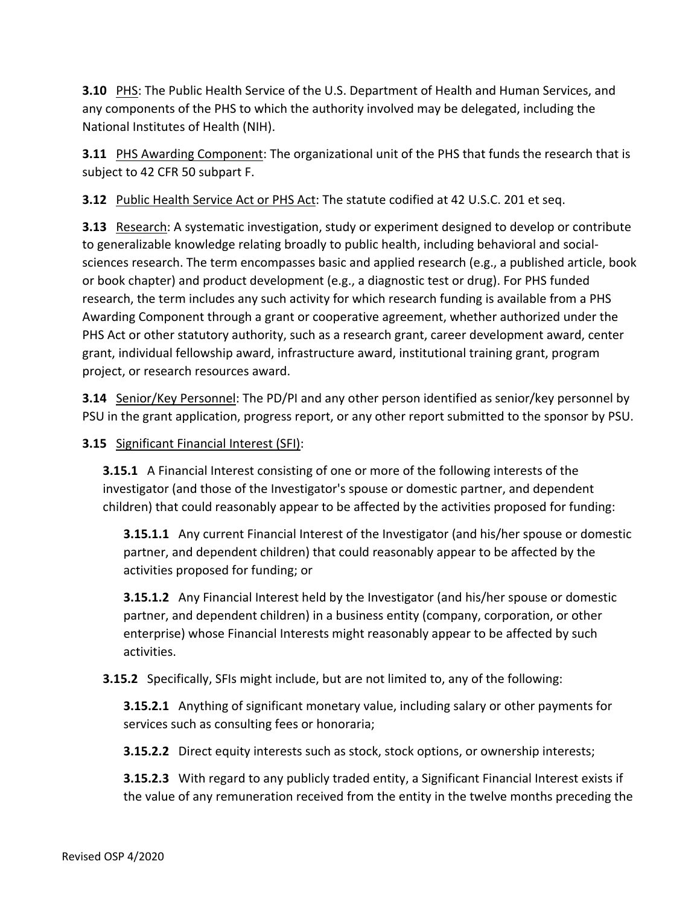**3.10** PHS: The Public Health Service of the U.S. Department of Health and Human Services, and any components of the PHS to which the authority involved may be delegated, including the National Institutes of Health (NIH).

**3.11** PHS Awarding Component: The organizational unit of the PHS that funds the research that is subject to 42 CFR 50 subpart F.

**3.12** Public Health Service Act or PHS Act: The statute codified at 42 U.S.C. 201 et seq.

**3.13** Research: A systematic investigation, study or experiment designed to develop or contribute to generalizable knowledge relating broadly to public health, including behavioral and socialsciences research. The term encompasses basic and applied research (e.g., a published article, book or book chapter) and product development (e.g., a diagnostic test or drug). For PHS funded research, the term includes any such activity for which research funding is available from a PHS Awarding Component through a grant or cooperative agreement, whether authorized under the PHS Act or other statutory authority, such as a research grant, career development award, center grant, individual fellowship award, infrastructure award, institutional training grant, program project, or research resources award.

**3.14** Senior/Key Personnel: The PD/PI and any other person identified as senior/key personnel by PSU in the grant application, progress report, or any other report submitted to the sponsor by PSU.

# **3.15** Significant Financial Interest (SFI):

**3.15.1** A Financial Interest consisting of one or more of the following interests of the investigator (and those of the Investigator's spouse or domestic partner, and dependent children) that could reasonably appear to be affected by the activities proposed for funding:

**3.15.1.1** Any current Financial Interest of the Investigator (and his/her spouse or domestic partner, and dependent children) that could reasonably appear to be affected by the activities proposed for funding; or

**3.15.1.2** Any Financial Interest held by the Investigator (and his/her spouse or domestic partner, and dependent children) in a business entity (company, corporation, or other enterprise) whose Financial Interests might reasonably appear to be affected by such activities.

**3.15.2** Specifically, SFIs might include, but are not limited to, any of the following:

**3.15.2.1** Anything of significant monetary value, including salary or other payments for services such as consulting fees or honoraria;

**3.15.2.2** Direct equity interests such as stock, stock options, or ownership interests;

**3.15.2.3** With regard to any publicly traded entity, a Significant Financial Interest exists if the value of any remuneration received from the entity in the twelve months preceding the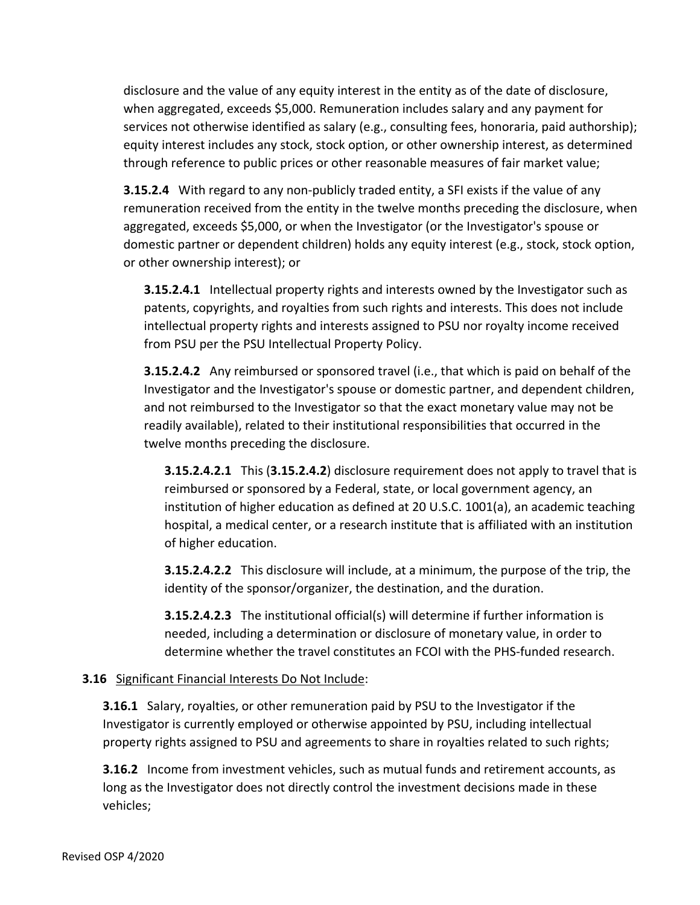disclosure and the value of any equity interest in the entity as of the date of disclosure, when aggregated, exceeds \$5,000. Remuneration includes salary and any payment for services not otherwise identified as salary (e.g., consulting fees, honoraria, paid authorship); equity interest includes any stock, stock option, or other ownership interest, as determined through reference to public prices or other reasonable measures of fair market value;

**3.15.2.4** With regard to any non-publicly traded entity, a SFI exists if the value of any remuneration received from the entity in the twelve months preceding the disclosure, when aggregated, exceeds \$5,000, or when the Investigator (or the Investigator's spouse or domestic partner or dependent children) holds any equity interest (e.g., stock, stock option, or other ownership interest); or

**3.15.2.4.1** Intellectual property rights and interests owned by the Investigator such as patents, copyrights, and royalties from such rights and interests. This does not include intellectual property rights and interests assigned to PSU nor royalty income received from PSU per the PSU Intellectual Property Policy.

**3.15.2.4.2** Any reimbursed or sponsored travel (i.e., that which is paid on behalf of the Investigator and the Investigator's spouse or domestic partner, and dependent children, and not reimbursed to the Investigator so that the exact monetary value may not be readily available), related to their institutional responsibilities that occurred in the twelve months preceding the disclosure.

**3.15.2.4.2.1** This (**3.15.2.4.2**) disclosure requirement does not apply to travel that is reimbursed or sponsored by a Federal, state, or local government agency, an institution of higher education as defined at 20 U.S.C. 1001(a), an academic teaching hospital, a medical center, or a research institute that is affiliated with an institution of higher education.

**3.15.2.4.2.2** This disclosure will include, at a minimum, the purpose of the trip, the identity of the sponsor/organizer, the destination, and the duration.

**3.15.2.4.2.3** The institutional official(s) will determine if further information is needed, including a determination or disclosure of monetary value, in order to determine whether the travel constitutes an FCOI with the PHS-funded research.

# **3.16** Significant Financial Interests Do Not Include:

**3.16.1** Salary, royalties, or other remuneration paid by PSU to the Investigator if the Investigator is currently employed or otherwise appointed by PSU, including intellectual property rights assigned to PSU and agreements to share in royalties related to such rights;

**3.16.2** Income from investment vehicles, such as mutual funds and retirement accounts, as long as the Investigator does not directly control the investment decisions made in these vehicles;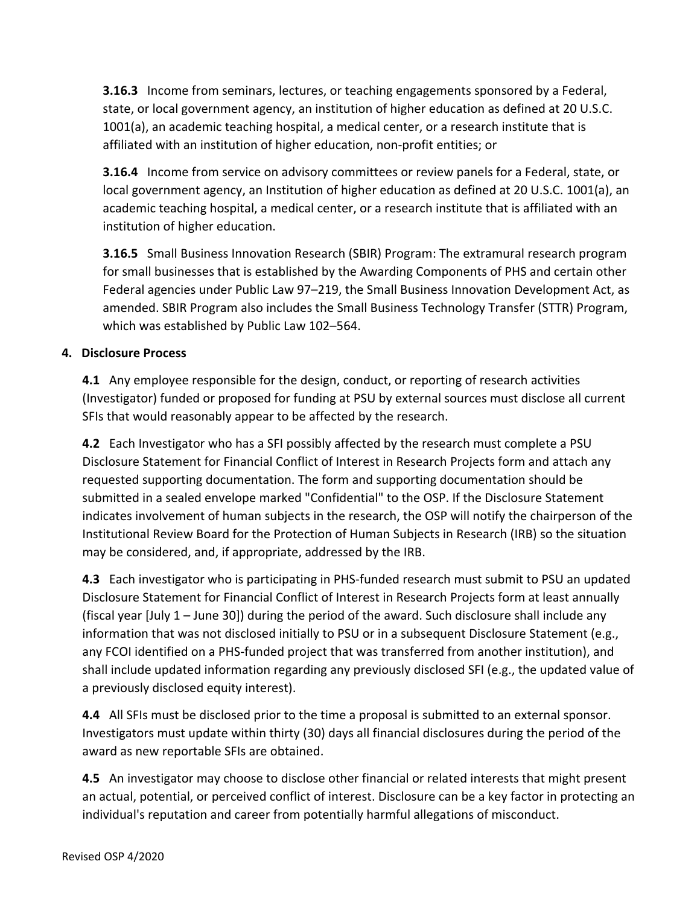**3.16.3** Income from seminars, lectures, or teaching engagements sponsored by a Federal, state, or local government agency, an institution of higher education as defined at 20 U.S.C. 1001(a), an academic teaching hospital, a medical center, or a research institute that is affiliated with an institution of higher education, non-profit entities; or

**3.16.4** Income from service on advisory committees or review panels for a Federal, state, or local government agency, an Institution of higher education as defined at 20 U.S.C. 1001(a), an academic teaching hospital, a medical center, or a research institute that is affiliated with an institution of higher education.

**3.16.5** Small Business Innovation Research (SBIR) Program: The extramural research program for small businesses that is established by the Awarding Components of PHS and certain other Federal agencies under Public Law 97–219, the Small Business Innovation Development Act, as amended. SBIR Program also includes the Small Business Technology Transfer (STTR) Program, which was established by Public Law 102–564.

# **4. Disclosure Process**

**4.1** Any employee responsible for the design, conduct, or reporting of research activities (Investigator) funded or proposed for funding at PSU by external sources must disclose all current SFIs that would reasonably appear to be affected by the research.

**4.2** Each Investigator who has a SFI possibly affected by the research must complete a PSU Disclosure Statement for Financial Conflict of Interest in Research Projects form and attach any requested supporting documentation. The form and supporting documentation should be submitted in a sealed envelope marked "Confidential" to the OSP. If the Disclosure Statement indicates involvement of human subjects in the research, the OSP will notify the chairperson of the Institutional Review Board for the Protection of Human Subjects in Research (IRB) so the situation may be considered, and, if appropriate, addressed by the IRB.

**4.3** Each investigator who is participating in PHS-funded research must submit to PSU an updated Disclosure Statement for Financial Conflict of Interest in Research Projects form at least annually (fiscal year [July 1 – June 30]) during the period of the award. Such disclosure shall include any information that was not disclosed initially to PSU or in a subsequent Disclosure Statement (e.g., any FCOI identified on a PHS-funded project that was transferred from another institution), and shall include updated information regarding any previously disclosed SFI (e.g., the updated value of a previously disclosed equity interest).

**4.4** All SFIs must be disclosed prior to the time a proposal is submitted to an external sponsor. Investigators must update within thirty (30) days all financial disclosures during the period of the award as new reportable SFIs are obtained.

**4.5** An investigator may choose to disclose other financial or related interests that might present an actual, potential, or perceived conflict of interest. Disclosure can be a key factor in protecting an individual's reputation and career from potentially harmful allegations of misconduct.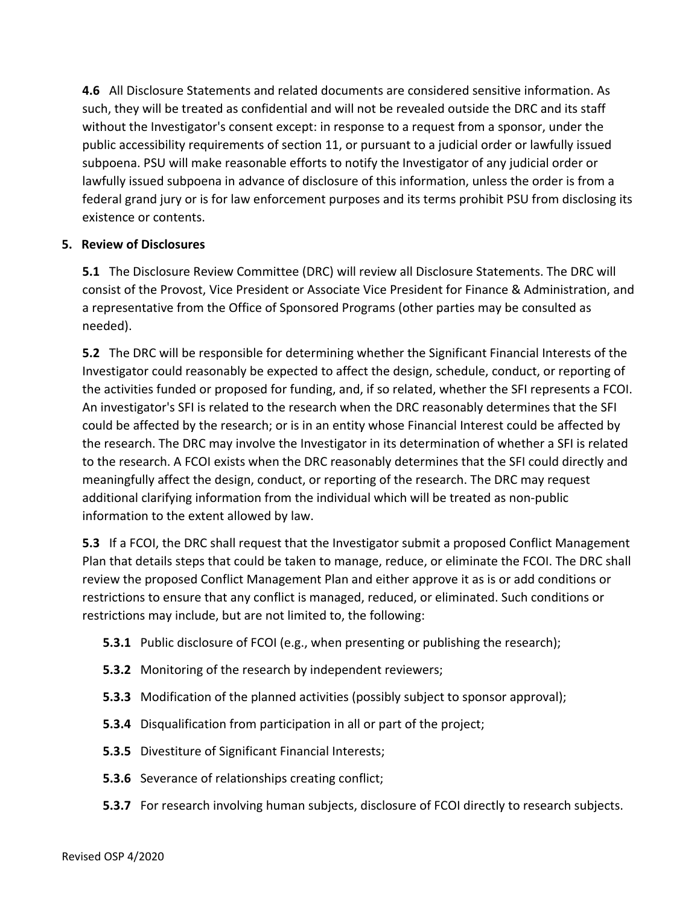**4.6** All Disclosure Statements and related documents are considered sensitive information. As such, they will be treated as confidential and will not be revealed outside the DRC and its staff without the Investigator's consent except: in response to a request from a sponsor, under the public accessibility requirements of section 11, or pursuant to a judicial order or lawfully issued subpoena. PSU will make reasonable efforts to notify the Investigator of any judicial order or lawfully issued subpoena in advance of disclosure of this information, unless the order is from a federal grand jury or is for law enforcement purposes and its terms prohibit PSU from disclosing its existence or contents.

#### **5. Review of Disclosures**

**5.1** The Disclosure Review Committee (DRC) will review all Disclosure Statements. The DRC will consist of the Provost, Vice President or Associate Vice President for Finance & Administration, and a representative from the Office of Sponsored Programs (other parties may be consulted as needed).

**5.2** The DRC will be responsible for determining whether the Significant Financial Interests of the Investigator could reasonably be expected to affect the design, schedule, conduct, or reporting of the activities funded or proposed for funding, and, if so related, whether the SFI represents a FCOI. An investigator's SFI is related to the research when the DRC reasonably determines that the SFI could be affected by the research; or is in an entity whose Financial Interest could be affected by the research. The DRC may involve the Investigator in its determination of whether a SFI is related to the research. A FCOI exists when the DRC reasonably determines that the SFI could directly and meaningfully affect the design, conduct, or reporting of the research. The DRC may request additional clarifying information from the individual which will be treated as non-public information to the extent allowed by law.

**5.3** If a FCOI, the DRC shall request that the Investigator submit a proposed Conflict Management Plan that details steps that could be taken to manage, reduce, or eliminate the FCOI. The DRC shall review the proposed Conflict Management Plan and either approve it as is or add conditions or restrictions to ensure that any conflict is managed, reduced, or eliminated. Such conditions or restrictions may include, but are not limited to, the following:

- **5.3.1** Public disclosure of FCOI (e.g., when presenting or publishing the research);
- **5.3.2** Monitoring of the research by independent reviewers;
- **5.3.3** Modification of the planned activities (possibly subject to sponsor approval);
- **5.3.4** Disqualification from participation in all or part of the project;
- **5.3.5** Divestiture of Significant Financial Interests;
- **5.3.6** Severance of relationships creating conflict;
- **5.3.7** For research involving human subjects, disclosure of FCOI directly to research subjects.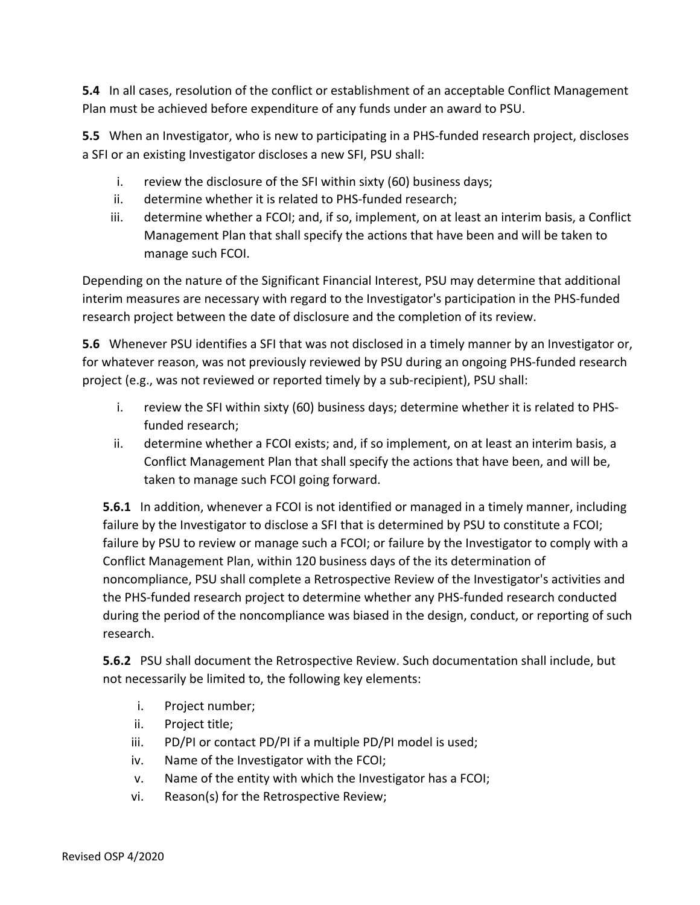**5.4** In all cases, resolution of the conflict or establishment of an acceptable Conflict Management Plan must be achieved before expenditure of any funds under an award to PSU.

**5.5** When an Investigator, who is new to participating in a PHS-funded research project, discloses a SFI or an existing Investigator discloses a new SFI, PSU shall:

- i. review the disclosure of the SFI within sixty (60) business days;
- ii. determine whether it is related to PHS-funded research;
- iii. determine whether a FCOI; and, if so, implement, on at least an interim basis, a Conflict Management Plan that shall specify the actions that have been and will be taken to manage such FCOI.

Depending on the nature of the Significant Financial Interest, PSU may determine that additional interim measures are necessary with regard to the Investigator's participation in the PHS-funded research project between the date of disclosure and the completion of its review.

**5.6** Whenever PSU identifies a SFI that was not disclosed in a timely manner by an Investigator or, for whatever reason, was not previously reviewed by PSU during an ongoing PHS-funded research project (e.g., was not reviewed or reported timely by a sub-recipient), PSU shall:

- i. review the SFI within sixty (60) business days; determine whether it is related to PHSfunded research;
- ii. determine whether a FCOI exists; and, if so implement, on at least an interim basis, a Conflict Management Plan that shall specify the actions that have been, and will be, taken to manage such FCOI going forward.

**5.6.1** In addition, whenever a FCOI is not identified or managed in a timely manner, including failure by the Investigator to disclose a SFI that is determined by PSU to constitute a FCOI; failure by PSU to review or manage such a FCOI; or failure by the Investigator to comply with a Conflict Management Plan, within 120 business days of the its determination of noncompliance, PSU shall complete a Retrospective Review of the Investigator's activities and the PHS-funded research project to determine whether any PHS-funded research conducted during the period of the noncompliance was biased in the design, conduct, or reporting of such research.

**5.6.2** PSU shall document the Retrospective Review. Such documentation shall include, but not necessarily be limited to, the following key elements:

- i. Project number;
- ii. Project title;
- iii. PD/PI or contact PD/PI if a multiple PD/PI model is used;
- iv. Name of the Investigator with the FCOI;
- v. Name of the entity with which the Investigator has a FCOI;
- vi. Reason(s) for the Retrospective Review;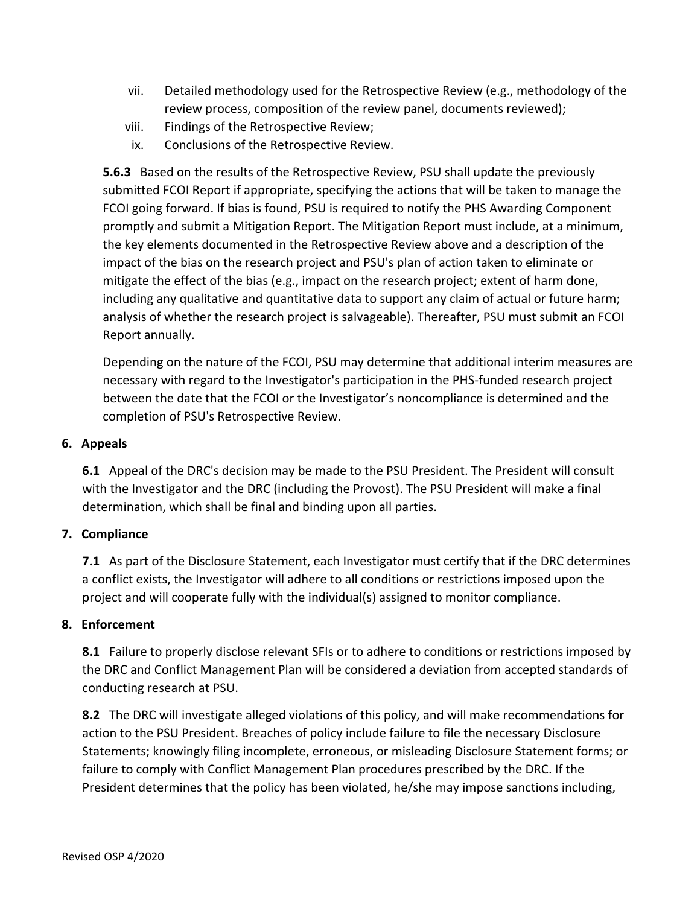- vii. Detailed methodology used for the Retrospective Review (e.g., methodology of the review process, composition of the review panel, documents reviewed);
- viii. Findings of the Retrospective Review;
- ix. Conclusions of the Retrospective Review.

**5.6.3** Based on the results of the Retrospective Review, PSU shall update the previously submitted FCOI Report if appropriate, specifying the actions that will be taken to manage the FCOI going forward. If bias is found, PSU is required to notify the PHS Awarding Component promptly and submit a Mitigation Report. The Mitigation Report must include, at a minimum, the key elements documented in the Retrospective Review above and a description of the impact of the bias on the research project and PSU's plan of action taken to eliminate or mitigate the effect of the bias (e.g., impact on the research project; extent of harm done, including any qualitative and quantitative data to support any claim of actual or future harm; analysis of whether the research project is salvageable). Thereafter, PSU must submit an FCOI Report annually.

Depending on the nature of the FCOI, PSU may determine that additional interim measures are necessary with regard to the Investigator's participation in the PHS-funded research project between the date that the FCOI or the Investigator's noncompliance is determined and the completion of PSU's Retrospective Review.

#### **6. Appeals**

**6.1** Appeal of the DRC's decision may be made to the PSU President. The President will consult with the Investigator and the DRC (including the Provost). The PSU President will make a final determination, which shall be final and binding upon all parties.

# **7. Compliance**

**7.1** As part of the Disclosure Statement, each Investigator must certify that if the DRC determines a conflict exists, the Investigator will adhere to all conditions or restrictions imposed upon the project and will cooperate fully with the individual(s) assigned to monitor compliance.

#### **8. Enforcement**

**8.1** Failure to properly disclose relevant SFIs or to adhere to conditions or restrictions imposed by the DRC and Conflict Management Plan will be considered a deviation from accepted standards of conducting research at PSU.

**8.2** The DRC will investigate alleged violations of this policy, and will make recommendations for action to the PSU President. Breaches of policy include failure to file the necessary Disclosure Statements; knowingly filing incomplete, erroneous, or misleading Disclosure Statement forms; or failure to comply with Conflict Management Plan procedures prescribed by the DRC. If the President determines that the policy has been violated, he/she may impose sanctions including,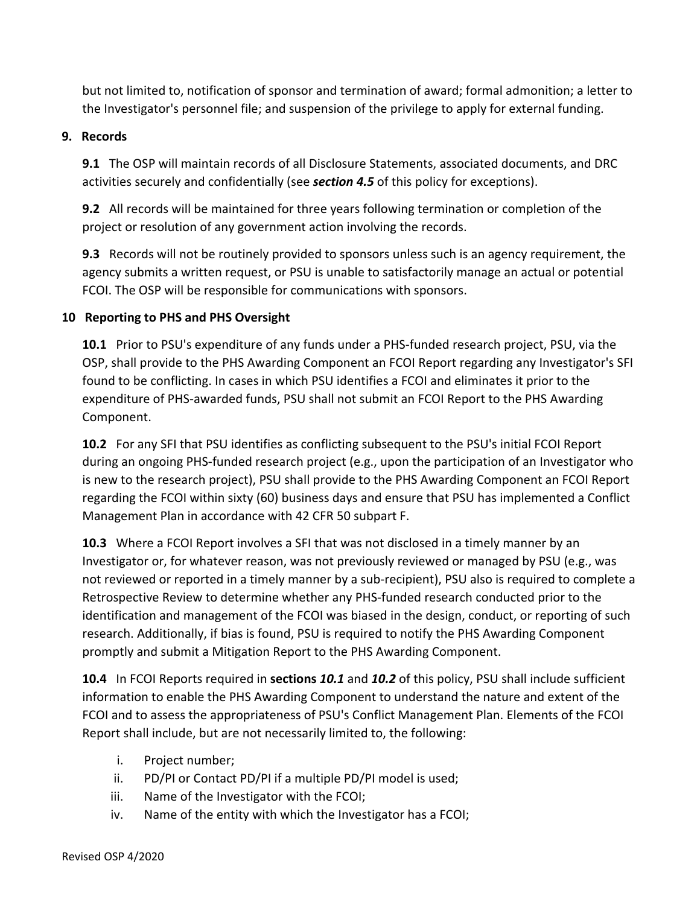but not limited to, notification of sponsor and termination of award; formal admonition; a letter to the Investigator's personnel file; and suspension of the privilege to apply for external funding.

#### **9. Records**

**9.1** The OSP will maintain records of all Disclosure Statements, associated documents, and DRC activities securely and confidentially (see *section 4.5* of this policy for exceptions).

**9.2** All records will be maintained for three years following termination or completion of the project or resolution of any government action involving the records.

**9.3** Records will not be routinely provided to sponsors unless such is an agency requirement, the agency submits a written request, or PSU is unable to satisfactorily manage an actual or potential FCOI. The OSP will be responsible for communications with sponsors.

# **10 Reporting to PHS and PHS Oversight**

**10.1** Prior to PSU's expenditure of any funds under a PHS-funded research project, PSU, via the OSP, shall provide to the PHS Awarding Component an FCOI Report regarding any Investigator's SFI found to be conflicting. In cases in which PSU identifies a FCOI and eliminates it prior to the expenditure of PHS-awarded funds, PSU shall not submit an FCOI Report to the PHS Awarding Component.

**10.2** For any SFI that PSU identifies as conflicting subsequent to the PSU's initial FCOI Report during an ongoing PHS-funded research project (e.g., upon the participation of an Investigator who is new to the research project), PSU shall provide to the PHS Awarding Component an FCOI Report regarding the FCOI within sixty (60) business days and ensure that PSU has implemented a Conflict Management Plan in accordance with 42 CFR 50 subpart F.

**10.3** Where a FCOI Report involves a SFI that was not disclosed in a timely manner by an Investigator or, for whatever reason, was not previously reviewed or managed by PSU (e.g., was not reviewed or reported in a timely manner by a sub-recipient), PSU also is required to complete a Retrospective Review to determine whether any PHS-funded research conducted prior to the identification and management of the FCOI was biased in the design, conduct, or reporting of such research. Additionally, if bias is found, PSU is required to notify the PHS Awarding Component promptly and submit a Mitigation Report to the PHS Awarding Component.

**10.4** In FCOI Reports required in **sections** *10.1* and *10.2* of this policy, PSU shall include sufficient information to enable the PHS Awarding Component to understand the nature and extent of the FCOI and to assess the appropriateness of PSU's Conflict Management Plan. Elements of the FCOI Report shall include, but are not necessarily limited to, the following:

- i. Project number;
- ii. PD/PI or Contact PD/PI if a multiple PD/PI model is used;
- iii. Name of the Investigator with the FCOI;
- iv. Name of the entity with which the Investigator has a FCOI;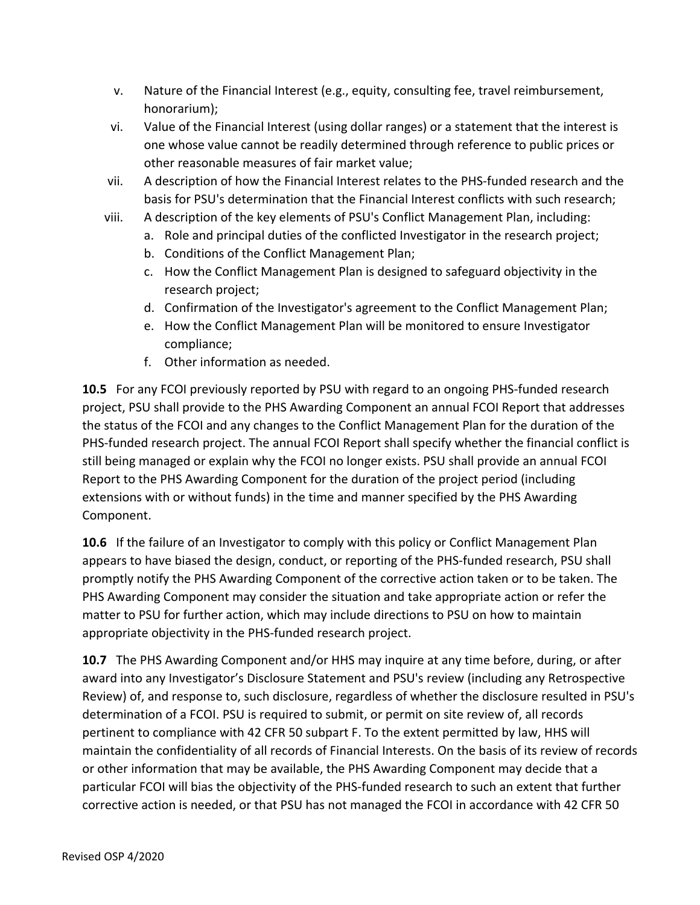- v. Nature of the Financial Interest (e.g., equity, consulting fee, travel reimbursement, honorarium);
- vi. Value of the Financial Interest (using dollar ranges) or a statement that the interest is one whose value cannot be readily determined through reference to public prices or other reasonable measures of fair market value;
- vii. A description of how the Financial Interest relates to the PHS-funded research and the basis for PSU's determination that the Financial Interest conflicts with such research;
- viii. A description of the key elements of PSU's Conflict Management Plan, including:
	- a. Role and principal duties of the conflicted Investigator in the research project;
	- b. Conditions of the Conflict Management Plan;
	- c. How the Conflict Management Plan is designed to safeguard objectivity in the research project;
	- d. Confirmation of the Investigator's agreement to the Conflict Management Plan;
	- e. How the Conflict Management Plan will be monitored to ensure Investigator compliance;
	- f. Other information as needed.

**10.5** For any FCOI previously reported by PSU with regard to an ongoing PHS-funded research project, PSU shall provide to the PHS Awarding Component an annual FCOI Report that addresses the status of the FCOI and any changes to the Conflict Management Plan for the duration of the PHS-funded research project. The annual FCOI Report shall specify whether the financial conflict is still being managed or explain why the FCOI no longer exists. PSU shall provide an annual FCOI Report to the PHS Awarding Component for the duration of the project period (including extensions with or without funds) in the time and manner specified by the PHS Awarding Component.

**10.6** If the failure of an Investigator to comply with this policy or Conflict Management Plan appears to have biased the design, conduct, or reporting of the PHS-funded research, PSU shall promptly notify the PHS Awarding Component of the corrective action taken or to be taken. The PHS Awarding Component may consider the situation and take appropriate action or refer the matter to PSU for further action, which may include directions to PSU on how to maintain appropriate objectivity in the PHS-funded research project.

**10.7** The PHS Awarding Component and/or HHS may inquire at any time before, during, or after award into any Investigator's Disclosure Statement and PSU's review (including any Retrospective Review) of, and response to, such disclosure, regardless of whether the disclosure resulted in PSU's determination of a FCOI. PSU is required to submit, or permit on site review of, all records pertinent to compliance with 42 CFR 50 subpart F. To the extent permitted by law, HHS will maintain the confidentiality of all records of Financial Interests. On the basis of its review of records or other information that may be available, the PHS Awarding Component may decide that a particular FCOI will bias the objectivity of the PHS-funded research to such an extent that further corrective action is needed, or that PSU has not managed the FCOI in accordance with 42 CFR 50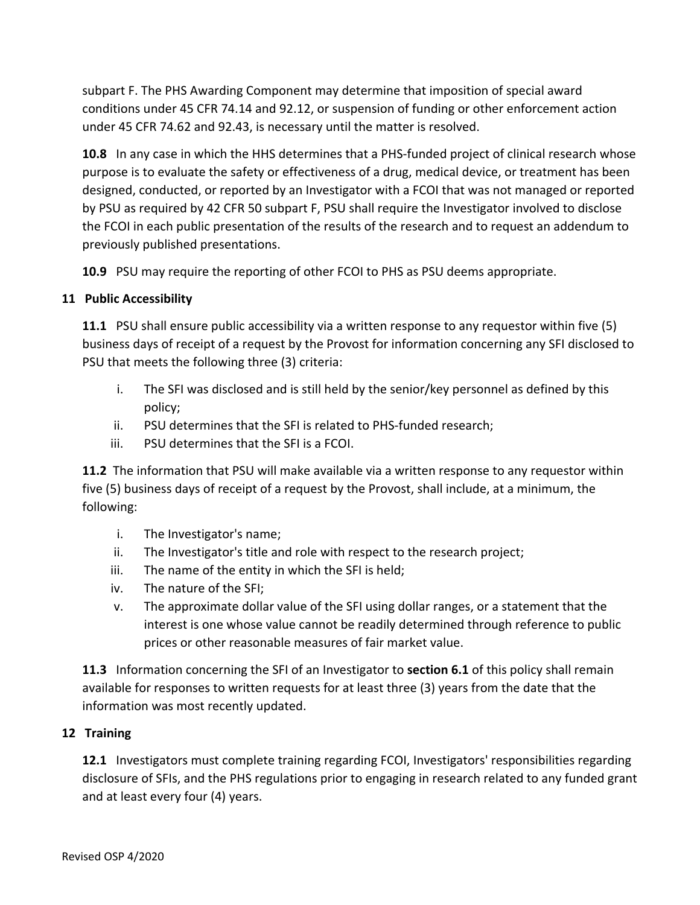subpart F. The PHS Awarding Component may determine that imposition of special award conditions under 45 CFR 74.14 and 92.12, or suspension of funding or other enforcement action under 45 CFR 74.62 and 92.43, is necessary until the matter is resolved.

**10.8** In any case in which the HHS determines that a PHS-funded project of clinical research whose purpose is to evaluate the safety or effectiveness of a drug, medical device, or treatment has been designed, conducted, or reported by an Investigator with a FCOI that was not managed or reported by PSU as required by 42 CFR 50 subpart F, PSU shall require the Investigator involved to disclose the FCOI in each public presentation of the results of the research and to request an addendum to previously published presentations.

**10.9** PSU may require the reporting of other FCOI to PHS as PSU deems appropriate.

# **11 Public Accessibility**

**11.1** PSU shall ensure public accessibility via a written response to any requestor within five (5) business days of receipt of a request by the Provost for information concerning any SFI disclosed to PSU that meets the following three (3) criteria:

- i. The SFI was disclosed and is still held by the senior/key personnel as defined by this policy;
- ii. PSU determines that the SFI is related to PHS-funded research;
- iii. PSU determines that the SFI is a FCOI.

**11.2** The information that PSU will make available via a written response to any requestor within five (5) business days of receipt of a request by the Provost, shall include, at a minimum, the following:

- i. The Investigator's name;
- ii. The Investigator's title and role with respect to the research project;
- iii. The name of the entity in which the SFI is held;
- iv. The nature of the SFI;
- v. The approximate dollar value of the SFI using dollar ranges, or a statement that the interest is one whose value cannot be readily determined through reference to public prices or other reasonable measures of fair market value.

**11.3** Information concerning the SFI of an Investigator to **section 6.1** of this policy shall remain available for responses to written requests for at least three (3) years from the date that the information was most recently updated.

# **12 Training**

**12.1** Investigators must complete training regarding FCOI, Investigators' responsibilities regarding disclosure of SFIs, and the PHS regulations prior to engaging in research related to any funded grant and at least every four (4) years.